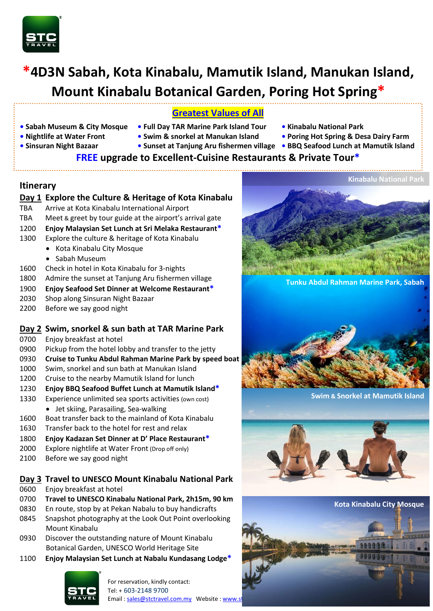

# **\*4D3N Sabah, Kota Kinabalu, Mamutik Island, Manukan Island, Mount Kinabalu Botanical Garden, Poring Hot Spring\***

## **Greatest Values of All**

- **• Sabah Museum & City Mosque Full Day TAR Marine Park Island Tour Kinabalu National Park**
	-
- 
- 
- 
- **Nightlife at Water Front Swim & snorkel at Manukan Island Poring Hot Spring & Desa Dairy Farm**
	-
- **Sinsuran Night Bazaar Sunset at Tanjung Aru fishermen village • BBQ Seafood Lunch at Mamutik Island**

# **FREE upgrade to Excellent-Cuisine Restaurants & Private Tour\***

#### **Itinerary**

#### **Day 1 Explore the Culture & Heritage of Kota Kinabalu**

- TBA Arrive at Kota Kinabalu International Airport
- TBA Meet & greet by tour guide at the airport's arrival gate
- 1200 **Enjoy Malaysian Set Lunch at Sri Melaka Restaurant\***
- 1300 Explore the culture & heritage of Kota Kinabalu
	- Kota Kinabalu City Mosque
		- Sabah Museum
- 1600 Check in hotel in Kota Kinabalu for 3-nights
- 1800 Admire the sunset at Tanjung Aru fishermen village
- 1900 **Enjoy Seafood Set Dinner at Welcome Restaurant\***
- 2030 Shop along Sinsuran Night Bazaar
- 2200 Before we say good night

## **Day 2 Swim, snorkel & sun bath at TAR Marine Park**

- 0700 Enjoy breakfast at hotel
- 0900 Pickup from the hotel lobby and transfer to the jetty
- 0930 **Cruise to Tunku Abdul Rahman Marine Park by speed boat**
- 1000 Swim, snorkel and sun bath at Manukan Island
- 1200 Cruise to the nearby Mamutik Island for lunch
- 1230 **Enjoy BBQ Seafood Buffet Lunch at Mamutik Island\***
- 1330 Experience unlimited sea sports activities (own cost) Jet skiing, Parasailing, Sea-walking
- 1600 Boat transfer back to the mainland of Kota Kinabalu
- 1630 Transfer back to the hotel for rest and relax
- 1800 **Enjoy Kadazan Set Dinner at D' Place Restaurant\***
- 2000 Explore nightlife at Water Front (Drop off only)
- 2100 Before we say good night

## **Day 3 Travel to UNESCO Mount Kinabalu National Park**

- 0600 Enjoy breakfast at hotel
- 0700 **Travel to UNESCO Kinabalu National Park, 2h15m, 90 km**
- 0830 En route, stop by at Pekan Nabalu to buy handicrafts
- 0845 Snapshot photography at the Look Out Point overlooking Mount Kinabalu
- 0930 Discover the outstanding nature of Mount Kinabalu Botanical Garden, UNESCO World Heritage Site
- 1100 **Enjoy Malaysian Set Lunch at Nabalu Kundasang Lodge\***



For reservation, kindly contact: Tel: + 603-2148 9700 Email[: sales@stctravel.com.my](mailto:sales@stctravel.com.my) Website: www.



**Tunku Abdul Rahman Marine Park, Sabah**



**Swim & Snorkel at Mamutik Island**



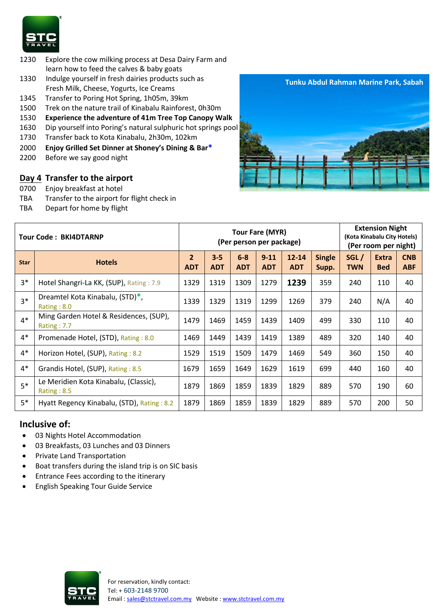

- 1230 Explore the cow milking process at Desa Dairy Farm and learn how to feed the calves & baby goats
- 1330 Indulge yourself in fresh dairies products such as Fresh Milk, Cheese, Yogurts, Ice Creams
- 1345 Transfer to Poring Hot Spring, 1h05m, 39km
- 1500 Trek on the nature trail of Kinabalu Rainforest, 0h30m
- 1530 **Experience the adventure of 41m Tree Top Canopy Walk**
- 1630 Dip yourself into Poring's natural sulphuric hot springs pool
- 1730 Transfer back to Kota Kinabalu, 2h30m, 102km
- 2000 **Enjoy Grilled Set Dinner at Shoney's Dining & Bar\***
- 2200 Before we say good night

#### **Day 4 Transfer to the airport**

- 0700 Enjoy breakfast at hotel
- TBA Transfer to the airport for flight check in
- TBA Depart for home by flight



| <b>Tour Code: BKI4DTARNP</b> |                                                         | <b>Tour Fare (MYR)</b><br>(Per person per package) |                       |                     |                        |                         |                        | <b>Extension Night</b><br>(Kota Kinabalu City Hotels)<br>(Per room per night) |                            |                          |
|------------------------------|---------------------------------------------------------|----------------------------------------------------|-----------------------|---------------------|------------------------|-------------------------|------------------------|-------------------------------------------------------------------------------|----------------------------|--------------------------|
| <b>Star</b>                  | <b>Hotels</b>                                           | $\overline{2}$<br><b>ADT</b>                       | $3 - 5$<br><b>ADT</b> | $6-8$<br><b>ADT</b> | $9 - 11$<br><b>ADT</b> | $12 - 14$<br><b>ADT</b> | <b>Single</b><br>Supp. | SGL/<br><b>TWN</b>                                                            | <b>Extra</b><br><b>Bed</b> | <b>CNB</b><br><b>ABF</b> |
| $3*$                         | Hotel Shangri-La KK, (SUP), Rating: 7.9                 | 1329                                               | 1319                  | 1309                | 1279                   | 1239                    | 359                    | 240                                                                           | 110                        | 40                       |
| $3*$                         | Dreamtel Kota Kinabalu, (STD)*,<br>Rating $: 8.0$       | 1339                                               | 1329                  | 1319                | 1299                   | 1269                    | 379                    | 240                                                                           | N/A                        | 40                       |
| $4*$                         | Ming Garden Hotel & Residences, (SUP),<br>Rating: $7.7$ | 1479                                               | 1469                  | 1459                | 1439                   | 1409                    | 499                    | 330                                                                           | 110                        | 40                       |
| $4*$                         | Promenade Hotel, (STD), Rating: 8.0                     | 1469                                               | 1449                  | 1439                | 1419                   | 1389                    | 489                    | 320                                                                           | 140                        | 40                       |
| $4*$                         | Horizon Hotel, (SUP), Rating: 8.2                       | 1529                                               | 1519                  | 1509                | 1479                   | 1469                    | 549                    | 360                                                                           | 150                        | 40                       |
| $4*$                         | Grandis Hotel, (SUP), Rating: 8.5                       | 1679                                               | 1659                  | 1649                | 1629                   | 1619                    | 699                    | 440                                                                           | 160                        | 40                       |
| $5*$                         | Le Meridien Kota Kinabalu, (Classic),<br>Rating: $8.5$  | 1879                                               | 1869                  | 1859                | 1839                   | 1829                    | 889                    | 570                                                                           | 190                        | 60                       |
| $5*$                         | Hyatt Regency Kinabalu, (STD), Rating: 8.2              | 1879                                               | 1869                  | 1859                | 1839                   | 1829                    | 889                    | 570                                                                           | 200                        | 50                       |

## **Inclusive of:**

- 03 Nights Hotel Accommodation
- 03 Breakfasts, 03 Lunches and 03 Dinners
- Private Land Transportation
- Boat transfers during the island trip is on SIC basis
- Entrance Fees according to the itinerary
- English Speaking Tour Guide Service